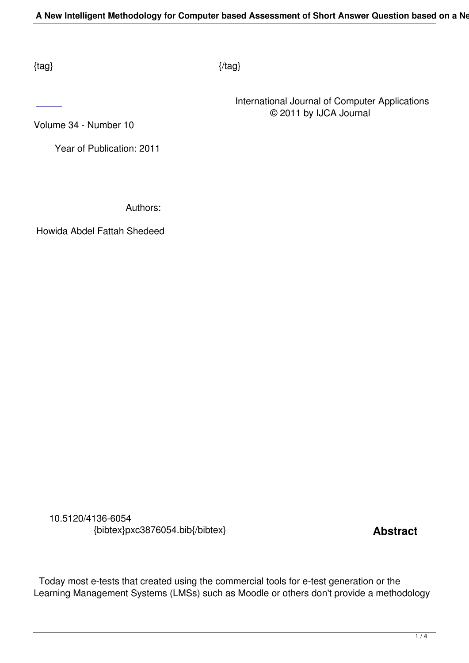$\{tag\}$ 

 International Journal of Computer Applications © 2011 by IJCA Journal

Volume 34 - Number 10

 [Ye](http://research.ijcaonline.org/volume34/number10/pxc3876054.pdf)ar of Publication: 2011

Authors:

Howida Abdel Fattah Shedeed

 10.5120/4136-6054 {bibtex}pxc3876054.bib{/bibtex} **Abstract** 

 Today most e-tests that created using the commercial tools for e-test generation or the Learning Management Systems (LMSs) such as Moodle or others don't provide a methodology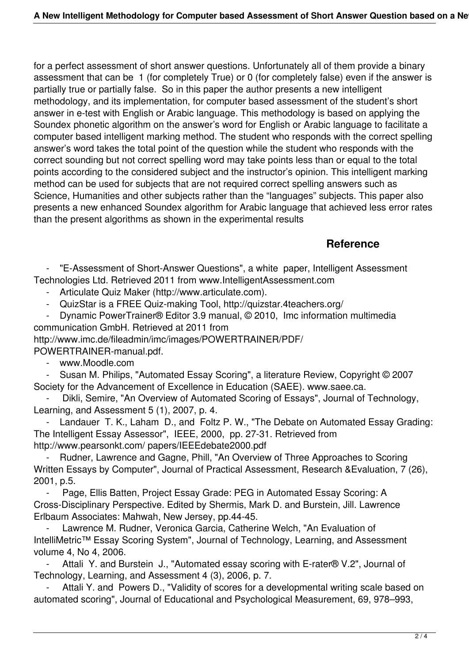for a perfect assessment of short answer questions. Unfortunately all of them provide a binary assessment that can be 1 (for completely True) or 0 (for completely false) even if the answer is partially true or partially false. So in this paper the author presents a new intelligent methodology, and its implementation, for computer based assessment of the student's short answer in e-test with English or Arabic language. This methodology is based on applying the Soundex phonetic algorithm on the answer's word for English or Arabic language to facilitate a computer based intelligent marking method. The student who responds with the correct spelling answer's word takes the total point of the question while the student who responds with the correct sounding but not correct spelling word may take points less than or equal to the total points according to the considered subject and the instructor's opinion. This intelligent marking method can be used for subjects that are not required correct spelling answers such as Science, Humanities and other subjects rather than the "languages" subjects. This paper also presents a new enhanced Soundex algorithm for Arabic language that achieved less error rates than the present algorithms as shown in the experimental results

## **Reference**

"E-Assessment of Short-Answer Questions", a white paper, Intelligent Assessment Technologies Ltd. Retrieved 2011 from www.IntelligentAssessment.com

- Articulate Quiz Maker (http://www.articulate.com).

- QuizStar is a FREE Quiz-making Tool, http://quizstar.4teachers.org/<br>- Dynamic PowerTrainer® Editor 3.9 manual © 2010 Imc information

 - Dynamic PowerTrainer® Editor 3.9 manual, © 2010, Imc information multimedia communication GmbH. Retrieved at 2011 from

http://www.imc.de/fileadmin/imc/images/POWERTRAINER/PDF/ POWERTRAINER-manual.pdf.

- www.Moodle.com

 - Susan M. Philips, "Automated Essay Scoring", a literature Review, Copyright © 2007 Society for the Advancement of Excellence in Education (SAEE). www.saee.ca.

Dikli, Semire, "An Overview of Automated Scoring of Essays", Journal of Technology, Learning, and Assessment 5 (1), 2007, p. 4.

Landauer T. K., Laham D., and Foltz P. W., "The Debate on Automated Essay Grading: The Intelligent Essay Assessor", IEEE, 2000, pp. 27-31. Retrieved from http://www.pearsonkt.com/ papers/IEEEdebate2000.pdf

Rudner, Lawrence and Gagne, Phill, "An Overview of Three Approaches to Scoring Written Essays by Computer", Journal of Practical Assessment, Research &Evaluation, 7 (26), 2001, p.5.

Page, Ellis Batten, Project Essay Grade: PEG in Automated Essay Scoring: A Cross-Disciplinary Perspective. Edited by Shermis, Mark D. and Burstein, Jill. Lawrence Erlbaum Associates: Mahwah, New Jersey, pp.44-45.

Lawrence M. Rudner, Veronica Garcia, Catherine Welch, "An Evaluation of IntelliMetric™ Essay Scoring System", Journal of Technology, Learning, and Assessment volume 4, No 4, 2006.

Attali Y. and Burstein J., "Automated essay scoring with E-rater® V.2", Journal of Technology, Learning, and Assessment 4 (3), 2006, p. 7.

Attali Y. and Powers D., "Validity of scores for a developmental writing scale based on automated scoring", Journal of Educational and Psychological Measurement, 69, 978–993,